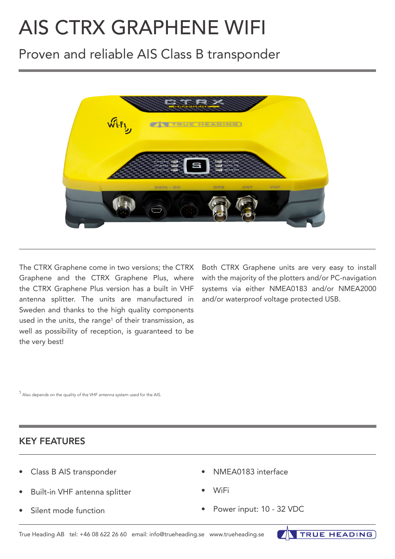# AIS CTRX GRAPHENE WIFI

# Proven and reliable AIS Class B transponder



The CTRX Graphene come in two versions; the CTRX Graphene and the CTRX Graphene Plus, where the CTRX Graphene Plus version has a built in VHF antenna splitter. The units are manufactured in Sweden and thanks to the high quality components used in the units, the range<sup>1</sup> of their transmission, as well as possibility of reception, is guaranteed to be the very best!

Both CTRX Graphene units are very easy to install with the majority of the plotters and/or PC-navigation systems via either NMEA0183 and/or NMEA2000 and/or waterproof voltage protected USB.

 $1$  Also depends on the quality of the VHF antenna system used for the AIS.

### KEY FEATURES

- Class B AIS transponder
- Built-in VHF antenna splitter
- Silent mode function
- NMEA0183 interface
- WiFi
- Power input: 10 32 VDC